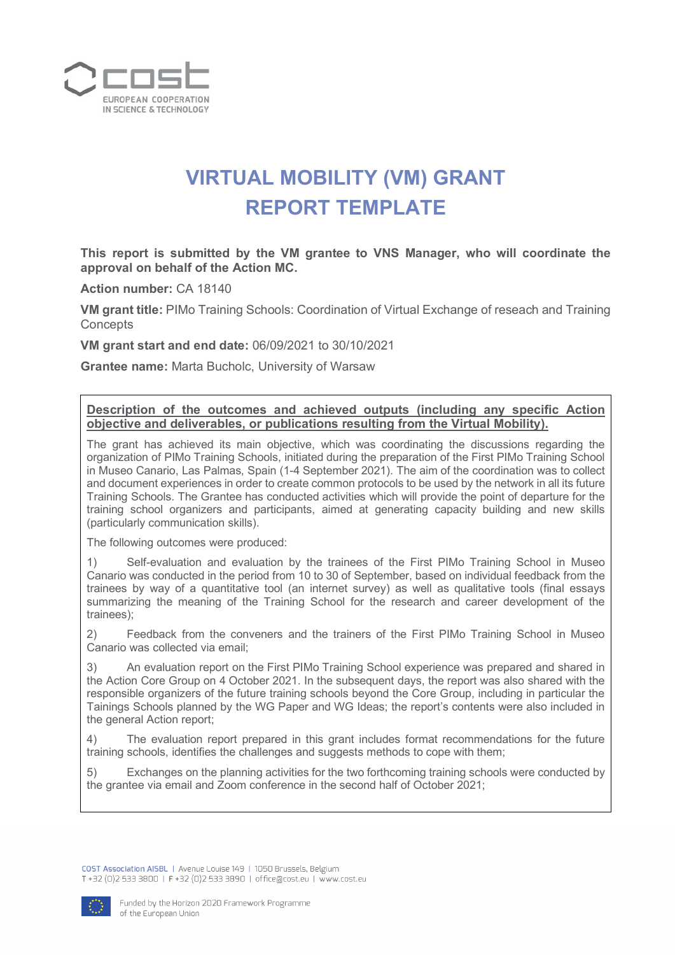

## **VIRTUAL MOBILITY (VM) GRANT REPORT TEMPLATE**

**This report is submitted by the VM grantee to VNS Manager, who will coordinate the approval on behalf of the Action MC.**

**Action number:** CA 18140

**VM grant title:** PIMo Training Schools: Coordination of Virtual Exchange of reseach and Training **Concepts** 

**VM grant start and end date:** 06/09/2021 to 30/10/2021

**Grantee name:** Marta Bucholc, University of Warsaw

**Description of the outcomes and achieved outputs (including any specific Action objective and deliverables, or publications resulting from the Virtual Mobility).**

The grant has achieved its main objective, which was coordinating the discussions regarding the organization of PIMo Training Schools, initiated during the preparation of the First PIMo Training School in Museo Canario, Las Palmas, Spain (1-4 September 2021). The aim of the coordination was to collect and document experiences in order to create common protocols to be used by the network in all its future Training Schools. The Grantee has conducted activities which will provide the point of departure for the training school organizers and participants, aimed at generating capacity building and new skills (particularly communication skills).

The following outcomes were produced:

1) Self-evaluation and evaluation by the trainees of the First PIMo Training School in Museo Canario was conducted in the period from 10 to 30 of September, based on individual feedback from the trainees by way of a quantitative tool (an internet survey) as well as qualitative tools (final essays summarizing the meaning of the Training School for the research and career development of the trainees);

2) Feedback from the conveners and the trainers of the First PIMo Training School in Museo Canario was collected via email;

3) An evaluation report on the First PIMo Training School experience was prepared and shared in the Action Core Group on 4 October 2021. In the subsequent days, the report was also shared with the responsible organizers of the future training schools beyond the Core Group, including in particular the Tainings Schools planned by the WG Paper and WG Ideas; the report's contents were also included in the general Action report;

4) The evaluation report prepared in this grant includes format recommendations for the future training schools, identifies the challenges and suggests methods to cope with them;

5) Exchanges on the planning activities for the two forthcoming training schools were conducted by the grantee via email and Zoom conference in the second half of October 2021;

COST Association AISBL | Avenue Louise 149 | 1050 Brussels, Belgium T +32 (0)2 533 3800 | F +32 (0)2 533 3890 | office@cost.eu | www.cost.eu